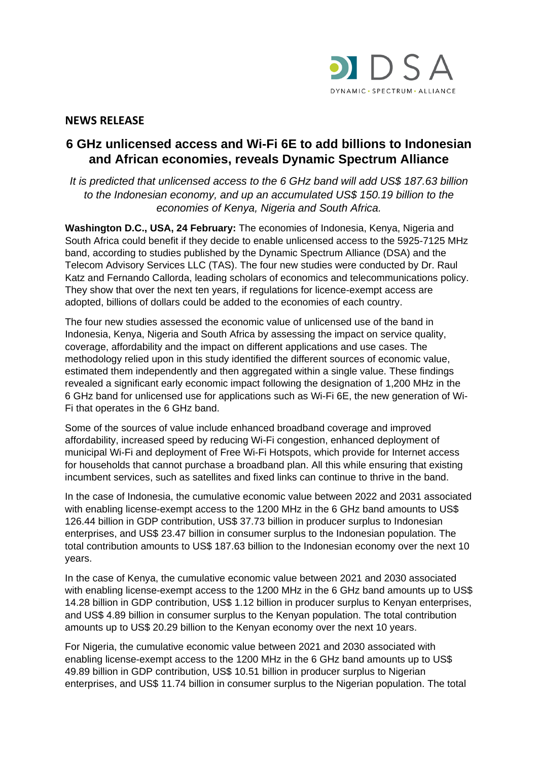

## **NEWS RELEASE**

# **6 GHz unlicensed access and Wi-Fi 6E to add billions to Indonesian and African economies, reveals Dynamic Spectrum Alliance**

*It is predicted that unlicensed access to the 6 GHz band will add US\$ 187.63 billion to the Indonesian economy, and up an accumulated US\$ 150.19 billion to the economies of Kenya, Nigeria and South Africa.*

**Washington D.C., USA, 24 February:** The economies of Indonesia, Kenya, Nigeria and South Africa could benefit if they decide to enable unlicensed access to the 5925-7125 MHz band, according to studies published by the Dynamic Spectrum Alliance (DSA) and the Telecom Advisory Services LLC (TAS). The four new studies were conducted by Dr. Raul Katz and Fernando Callorda, leading scholars of economics and telecommunications policy. They show that over the next ten years, if regulations for licence-exempt access are adopted, billions of dollars could be added to the economies of each country.

The four new studies assessed the economic value of unlicensed use of the band in Indonesia, Kenya, Nigeria and South Africa by assessing the impact on service quality, coverage, affordability and the impact on different applications and use cases. The methodology relied upon in this study identified the different sources of economic value, estimated them independently and then aggregated within a single value. These findings revealed a significant early economic impact following the designation of 1,200 MHz in the 6 GHz band for unlicensed use for applications such as Wi-Fi 6E, the new generation of Wi-Fi that operates in the 6 GHz band.

Some of the sources of value include enhanced broadband coverage and improved affordability, increased speed by reducing Wi-Fi congestion, enhanced deployment of municipal Wi-Fi and deployment of Free Wi-Fi Hotspots, which provide for Internet access for households that cannot purchase a broadband plan. All this while ensuring that existing incumbent services, such as satellites and fixed links can continue to thrive in the band.

In the case of Indonesia, the cumulative economic value between 2022 and 2031 associated with enabling license-exempt access to the 1200 MHz in the 6 GHz band amounts to US\$ 126.44 billion in GDP contribution, US\$ 37.73 billion in producer surplus to Indonesian enterprises, and US\$ 23.47 billion in consumer surplus to the Indonesian population. The total contribution amounts to US\$ 187.63 billion to the Indonesian economy over the next 10 years.

In the case of Kenya, the cumulative economic value between 2021 and 2030 associated with enabling license-exempt access to the 1200 MHz in the 6 GHz band amounts up to US\$ 14.28 billion in GDP contribution, US\$ 1.12 billion in producer surplus to Kenyan enterprises, and US\$ 4.89 billion in consumer surplus to the Kenyan population. The total contribution amounts up to US\$ 20.29 billion to the Kenyan economy over the next 10 years.

For Nigeria, the cumulative economic value between 2021 and 2030 associated with enabling license-exempt access to the 1200 MHz in the 6 GHz band amounts up to US\$ 49.89 billion in GDP contribution, US\$ 10.51 billion in producer surplus to Nigerian enterprises, and US\$ 11.74 billion in consumer surplus to the Nigerian population. The total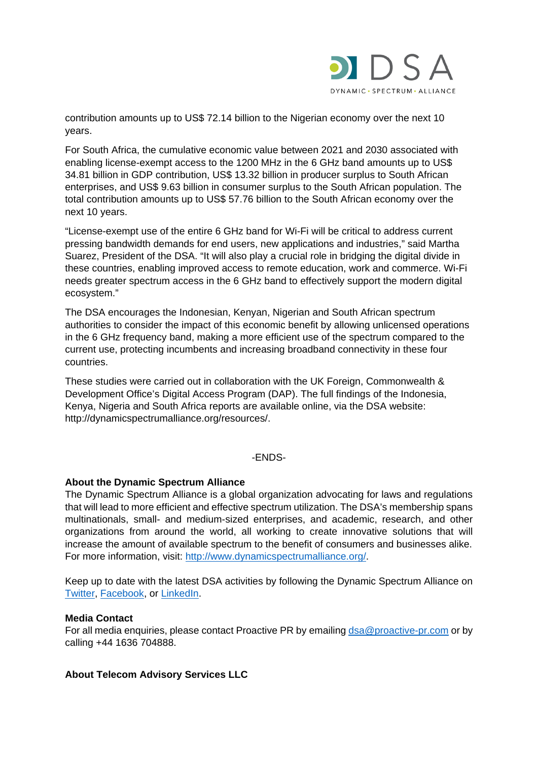

contribution amounts up to US\$ 72.14 billion to the Nigerian economy over the next 10 years.

For South Africa, the cumulative economic value between 2021 and 2030 associated with enabling license-exempt access to the 1200 MHz in the 6 GHz band amounts up to US\$ 34.81 billion in GDP contribution, US\$ 13.32 billion in producer surplus to South African enterprises, and US\$ 9.63 billion in consumer surplus to the South African population. The total contribution amounts up to US\$ 57.76 billion to the South African economy over the next 10 years.

"License-exempt use of the entire 6 GHz band for Wi-Fi will be critical to address current pressing bandwidth demands for end users, new applications and industries," said Martha Suarez, President of the DSA. "It will also play a crucial role in bridging the digital divide in these countries, enabling improved access to remote education, work and commerce. Wi-Fi needs greater spectrum access in the 6 GHz band to effectively support the modern digital ecosystem."

The DSA encourages the Indonesian, Kenyan, Nigerian and South African spectrum authorities to consider the impact of this economic benefit by allowing unlicensed operations in the 6 GHz frequency band, making a more efficient use of the spectrum compared to the current use, protecting incumbents and increasing broadband connectivity in these four countries.

These studies were carried out in collaboration with the UK Foreign, Commonwealth & Development Office's Digital Access Program (DAP). The full findings of the Indonesia, Kenya, Nigeria and South Africa reports are available online, via the DSA website: http://dynamicspectrumalliance.org/resources/.

### -ENDS-

### **About the Dynamic Spectrum Alliance**

The Dynamic Spectrum Alliance is a global organization advocating for laws and regulations that will lead to more efficient and effective spectrum utilization. The DSA's membership spans multinationals, small- and medium-sized enterprises, and academic, research, and other organizations from around the world, all working to create innovative solutions that will increase the amount of available spectrum to the benefit of consumers and businesses alike. For more information, visit: [http://www.dynamicspectrumalliance.org/.](http://www.dynamicspectrumalliance.org/)

Keep up to date with the latest DSA activities by following the Dynamic Spectrum Alliance on [Twitter,](https://twitter.com/DynamicSpectrum) [Facebook,](https://www.facebook.com/DynamicSpectrumAlliance/) or [LinkedIn.](https://www.linkedin.com/groups/6654268)

#### **Media Contact**

For all media enquiries, please contact Proactive PR by emailin[g dsa@proactive-pr.com](mailto:dsa@proactive-pr.com) or by calling +44 1636 704888.

### **About Telecom Advisory Services LLC**